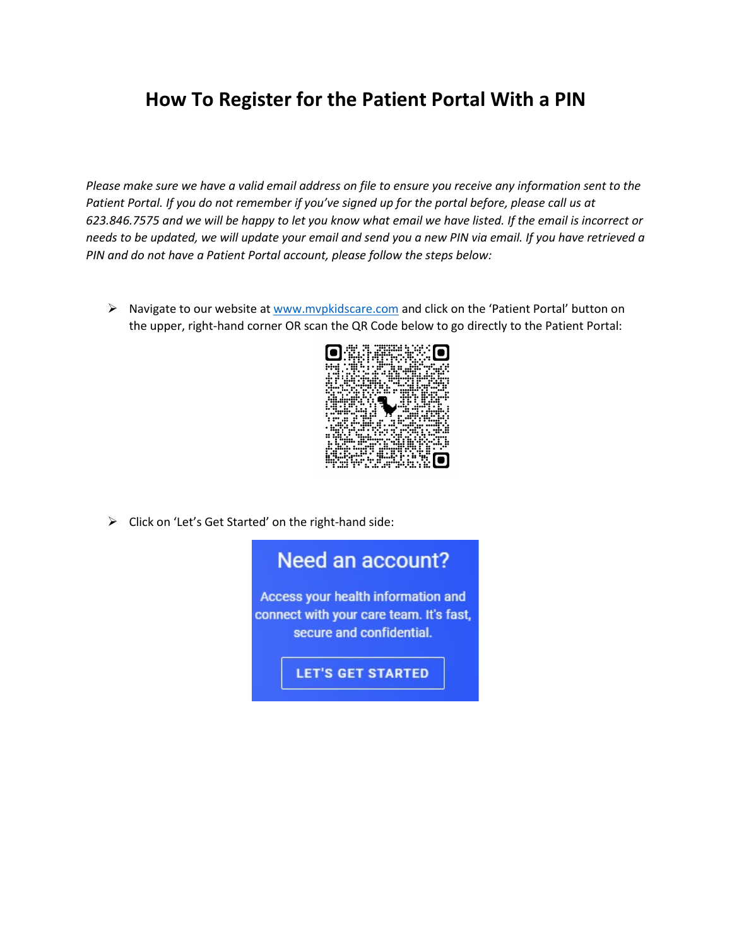## **How To Register for the Patient Portal With a PIN**

*Please make sure we have a valid email address on file to ensure you receive any information sent to the Patient Portal. If you do not remember if you've signed up for the portal before, please call us at 623.846.7575 and we will be happy to let you know what email we have listed. If the email is incorrect or needs to be updated, we will update your email and send you a new PIN via email. If you have retrieved a PIN and do not have a Patient Portal account, please follow the steps below:*

▶ Navigate to our website at [www.mvpkidscare.com](http://www.mvpkidscare.com/) and click on the 'Patient Portal' button on the upper, right-hand corner OR scan the QR Code below to go directly to the Patient Portal:



> Click on 'Let's Get Started' on the right-hand side: